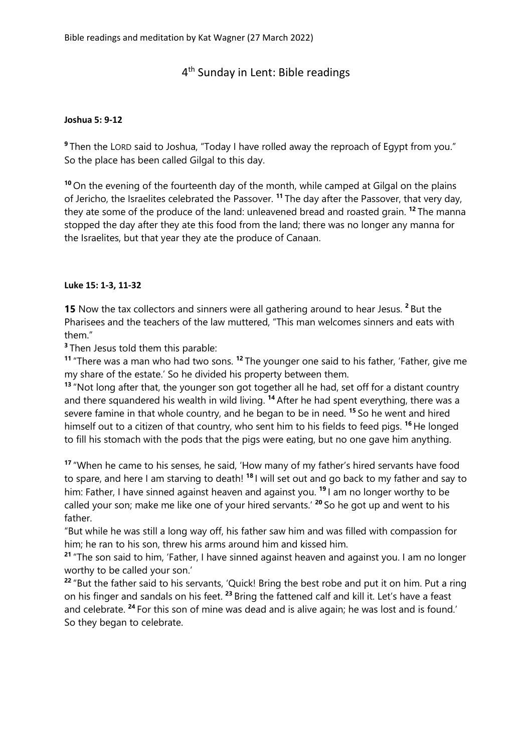## 4<sup>th</sup> Sunday in Lent: Bible readings

## **Joshua 5: 9-12**

**9** Then the LORD said to Joshua, "Today I have rolled away the reproach of Egypt from you." So the place has been called Gilgal to this day.

**<sup>10</sup>** On the evening of the fourteenth day of the month, while camped at Gilgal on the plains of Jericho, the Israelites celebrated the Passover. **<sup>11</sup>** The day after the Passover, that very day, they ate some of the produce of the land: unleavened bread and roasted grain. **<sup>12</sup>** The manna stopped the day after they ate this food from the land; there was no longer any manna for the Israelites, but that year they ate the produce of Canaan.

## **Luke 15: 1-3, 11-32**

**15** Now the tax collectors and sinners were all gathering around to hear Jesus. **<sup>2</sup>** But the Pharisees and the teachers of the law muttered, "This man welcomes sinners and eats with them."

**3** Then Jesus told them this parable:

**<sup>11</sup>** "There was a man who had two sons. **<sup>12</sup>** The younger one said to his father, 'Father, give me my share of the estate.' So he divided his property between them.

**<sup>13</sup>** "Not long after that, the younger son got together all he had, set off for a distant country and there squandered his wealth in wild living. **<sup>14</sup>** After he had spent everything, there was a severe famine in that whole country, and he began to be in need. **<sup>15</sup>** So he went and hired himself out to a citizen of that country, who sent him to his fields to feed pigs. **<sup>16</sup>** He longed to fill his stomach with the pods that the pigs were eating, but no one gave him anything.

**<sup>17</sup>** "When he came to his senses, he said, 'How many of my father's hired servants have food to spare, and here I am starving to death! **<sup>18</sup>** I will set out and go back to my father and say to him: Father, I have sinned against heaven and against you. **<sup>19</sup>** I am no longer worthy to be called your son; make me like one of your hired servants.' **<sup>20</sup>** So he got up and went to his father.

"But while he was still a long way off, his father saw him and was filled with compassion for him; he ran to his son, threw his arms around him and kissed him.

**<sup>21</sup>** "The son said to him, 'Father, I have sinned against heaven and against you. I am no longer worthy to be called your son.'

**<sup>22</sup>** "But the father said to his servants, 'Quick! Bring the best robe and put it on him. Put a ring on his finger and sandals on his feet. **<sup>23</sup>** Bring the fattened calf and kill it. Let's have a feast and celebrate. **<sup>24</sup>** For this son of mine was dead and is alive again; he was lost and is found.' So they began to celebrate.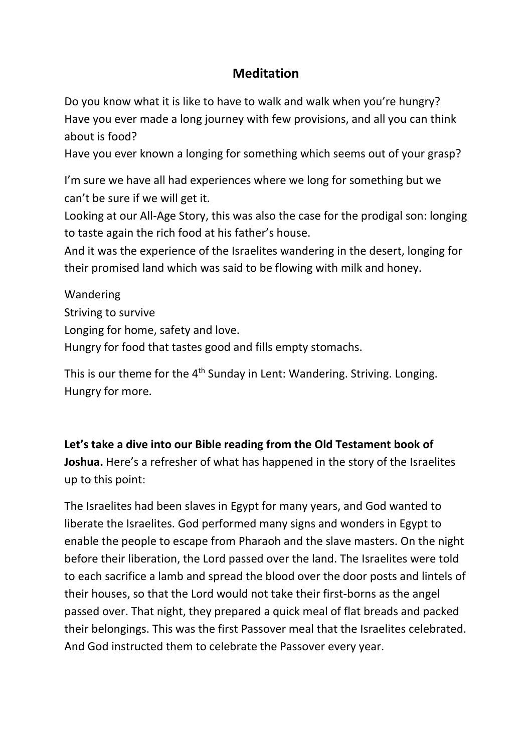## **Meditation**

Do you know what it is like to have to walk and walk when you're hungry? Have you ever made a long journey with few provisions, and all you can think about is food?

Have you ever known a longing for something which seems out of your grasp?

I'm sure we have all had experiences where we long for something but we can't be sure if we will get it.

Looking at our All-Age Story, this was also the case for the prodigal son: longing to taste again the rich food at his father's house.

And it was the experience of the Israelites wandering in the desert, longing for their promised land which was said to be flowing with milk and honey.

Wandering Striving to survive Longing for home, safety and love. Hungry for food that tastes good and fills empty stomachs.

This is our theme for the  $4<sup>th</sup>$  Sunday in Lent: Wandering. Striving. Longing. Hungry for more.

**Let's take a dive into our Bible reading from the Old Testament book of Joshua.** Here's a refresher of what has happened in the story of the Israelites up to this point:

The Israelites had been slaves in Egypt for many years, and God wanted to liberate the Israelites. God performed many signs and wonders in Egypt to enable the people to escape from Pharaoh and the slave masters. On the night before their liberation, the Lord passed over the land. The Israelites were told to each sacrifice a lamb and spread the blood over the door posts and lintels of their houses, so that the Lord would not take their first-borns as the angel passed over. That night, they prepared a quick meal of flat breads and packed their belongings. This was the first Passover meal that the Israelites celebrated. And God instructed them to celebrate the Passover every year.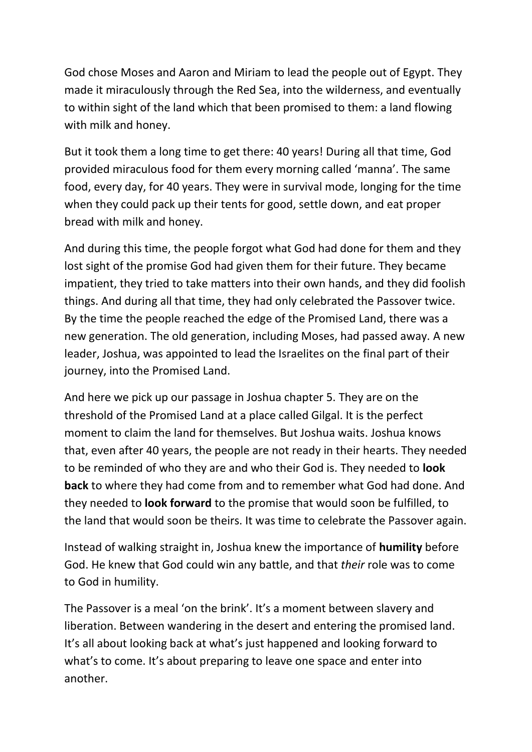God chose Moses and Aaron and Miriam to lead the people out of Egypt. They made it miraculously through the Red Sea, into the wilderness, and eventually to within sight of the land which that been promised to them: a land flowing with milk and honey.

But it took them a long time to get there: 40 years! During all that time, God provided miraculous food for them every morning called 'manna'. The same food, every day, for 40 years. They were in survival mode, longing for the time when they could pack up their tents for good, settle down, and eat proper bread with milk and honey.

And during this time, the people forgot what God had done for them and they lost sight of the promise God had given them for their future. They became impatient, they tried to take matters into their own hands, and they did foolish things. And during all that time, they had only celebrated the Passover twice. By the time the people reached the edge of the Promised Land, there was a new generation. The old generation, including Moses, had passed away. A new leader, Joshua, was appointed to lead the Israelites on the final part of their journey, into the Promised Land.

And here we pick up our passage in Joshua chapter 5. They are on the threshold of the Promised Land at a place called Gilgal. It is the perfect moment to claim the land for themselves. But Joshua waits. Joshua knows that, even after 40 years, the people are not ready in their hearts. They needed to be reminded of who they are and who their God is. They needed to **look back** to where they had come from and to remember what God had done. And they needed to **look forward** to the promise that would soon be fulfilled, to the land that would soon be theirs. It was time to celebrate the Passover again.

Instead of walking straight in, Joshua knew the importance of **humility** before God. He knew that God could win any battle, and that *their* role was to come to God in humility.

The Passover is a meal 'on the brink'. It's a moment between slavery and liberation. Between wandering in the desert and entering the promised land. It's all about looking back at what's just happened and looking forward to what's to come. It's about preparing to leave one space and enter into another.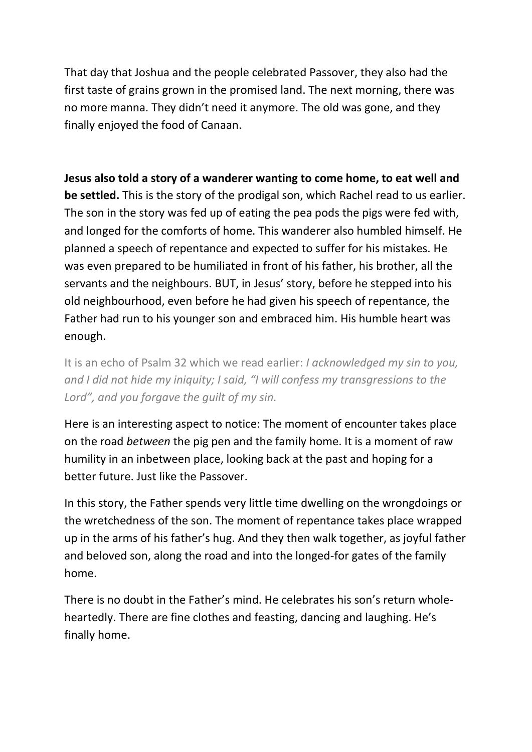That day that Joshua and the people celebrated Passover, they also had the first taste of grains grown in the promised land. The next morning, there was no more manna. They didn't need it anymore. The old was gone, and they finally enjoyed the food of Canaan.

**Jesus also told a story of a wanderer wanting to come home, to eat well and be settled.** This is the story of the prodigal son, which Rachel read to us earlier. The son in the story was fed up of eating the pea pods the pigs were fed with, and longed for the comforts of home. This wanderer also humbled himself. He planned a speech of repentance and expected to suffer for his mistakes. He was even prepared to be humiliated in front of his father, his brother, all the servants and the neighbours. BUT, in Jesus' story, before he stepped into his old neighbourhood, even before he had given his speech of repentance, the Father had run to his younger son and embraced him. His humble heart was enough.

It is an echo of Psalm 32 which we read earlier: *I acknowledged my sin to you, and I did not hide my iniquity; I said, "I will confess my transgressions to the Lord", and you forgave the guilt of my sin.* 

Here is an interesting aspect to notice: The moment of encounter takes place on the road *between* the pig pen and the family home. It is a moment of raw humility in an inbetween place, looking back at the past and hoping for a better future. Just like the Passover.

In this story, the Father spends very little time dwelling on the wrongdoings or the wretchedness of the son. The moment of repentance takes place wrapped up in the arms of his father's hug. And they then walk together, as joyful father and beloved son, along the road and into the longed-for gates of the family home.

There is no doubt in the Father's mind. He celebrates his son's return wholeheartedly. There are fine clothes and feasting, dancing and laughing. He's finally home.